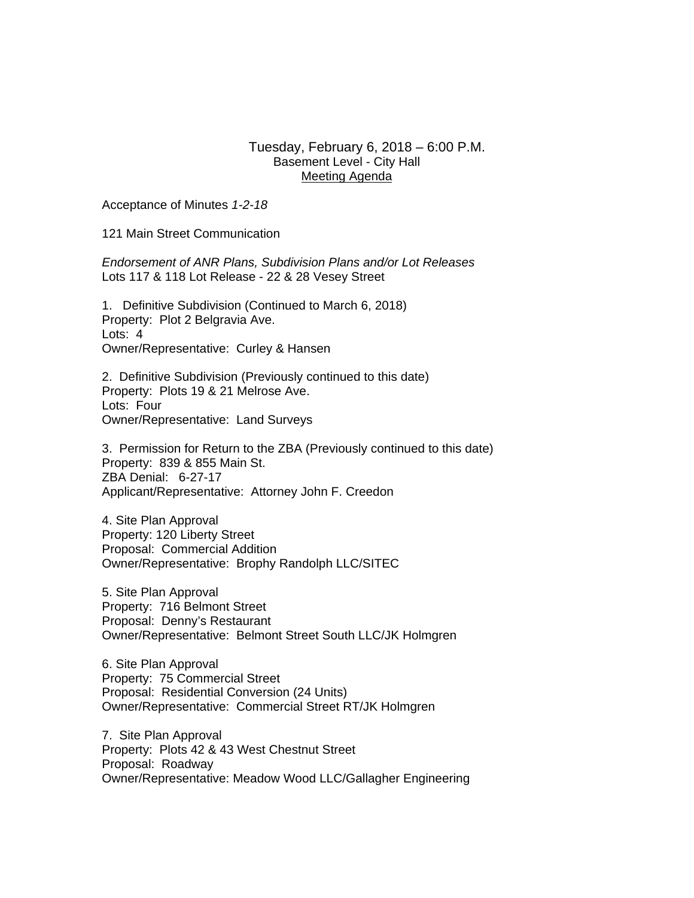## Tuesday, February 6, 2018 – 6:00 P.M. Basement Level - City Hall Meeting Agenda

Acceptance of Minutes *1-2-18* 

121 Main Street Communication

*Endorsement of ANR Plans, Subdivision Plans and/or Lot Releases*  Lots 117 & 118 Lot Release - 22 & 28 Vesey Street

1. Definitive Subdivision (Continued to March 6, 2018) Property: Plot 2 Belgravia Ave. Lots: 4 Owner/Representative:Curley & Hansen

2. Definitive Subdivision (Previously continued to this date) Property: Plots 19 & 21 Melrose Ave. Lots: Four Owner/Representative:Land Surveys

3. Permission for Return to the ZBA (Previously continued to this date) Property: 839 & 855 Main St. ZBA Denial: 6-27-17 Applicant/Representative: Attorney John F. Creedon

4. Site Plan Approval Property: 120 Liberty Street Proposal: Commercial Addition Owner/Representative: Brophy Randolph LLC/SITEC

5. Site Plan Approval Property: 716 Belmont Street Proposal: Denny's Restaurant Owner/Representative: Belmont Street South LLC/JK Holmgren

6. Site Plan Approval Property: 75 Commercial Street Proposal: Residential Conversion (24 Units) Owner/Representative: Commercial Street RT/JK Holmgren

7. Site Plan Approval Property: Plots 42 & 43 West Chestnut Street Proposal: Roadway Owner/Representative: Meadow Wood LLC/Gallagher Engineering